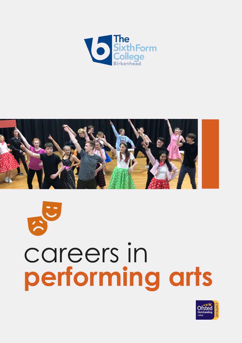



 $\frac{1}{2}$ 

# careers in **performing arts**

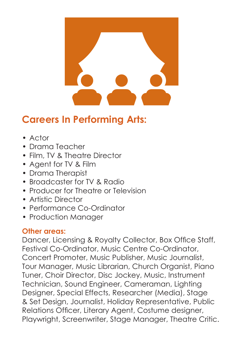

## **Careers In Performing Arts:**

- Actor
- Drama Teacher
- Film, TV & Theatre Director
- Agent for TV & Film
- Drama Therapist
- Broadcaster for TV & Radio
- Producer for Theatre or Television
- Artistic Director
- Performance Co-Ordinator
- Production Manager

#### **Other areas:**

Dancer, Licensing & Royalty Collector, Box Office Staff, Festival Co-Ordinator, Music Centre Co-Ordinator, Concert Promoter, Music Publisher, Music Journalist, Tour Manager, Music Librarian, Church Organist, Piano Tuner, Choir Director, Disc Jockey, Music, Instrument Technician, Sound Engineer, Cameraman, Lighting Designer, Special Effects, Researcher (Media), Stage & Set Design, Journalist, Holiday Representative, Public Relations Officer, Literary Agent, Costume designer, Playwright, Screenwriter, Stage Manager, Theatre Critic.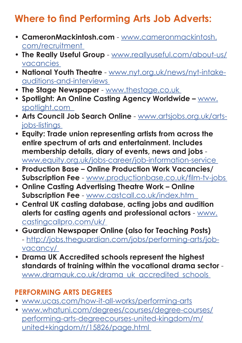# **Where to find Performing Arts Job Adverts:**

- **• CameronMackintosh.com** www.cameronmackintosh. com/recruitment
- **• The Really Useful Group** www.reallyuseful.com/about-us/ vacancies
- **• National Youth Theatre** www.nyt.org.uk/news/nyt-intakeauditions-and-interviews
- **• The Stage Newspaper**  www.thestage.co.uk
- **• Spotlight: An Online Casting Agency Worldwide –** www. spotlight.com
- **• Arts Council Job Search Online** www.artsjobs.org.uk/artsjobs-listings
- **• Equity: Trade union representing artists from across the entire spectrum of arts and entertainment. Includes membership details, diary of events, news and jobs** www.equity.org.uk/jobs-career/job-information-service
- **• Production Base Online Production Work Vacancies/ Subscription Fee** - www.productionbase.co.uk/film-tv-jobs
- **• Online Casting Advertising Theatre Work Online Subscription Fee** - www.castcall.co.uk/index.htm
- **• Central UK casting database, acting jobs and audition alerts for casting agents and professional actors** - www. castingcallpro.com/uk/
- **• Guardian Newspaper Online (also for Teaching Posts)**  - http://jobs.theguardian.com/jobs/performing-arts/jobvacancy/
- **• Drama UK Accredited schools represent the highest standards of training within the vocational drama sector**  www.dramauk.co.uk/drama\_uk\_accredited\_schools\_

#### **PERFORMING ARTS DEGREES**

- www.ucas.com/how-it-all-works/performing-arts
- www.whatuni.com/degrees/courses/degree-courses/ performing-arts-degreecourses-united-kingdom/m/ united+kingdom/r/15826/page.html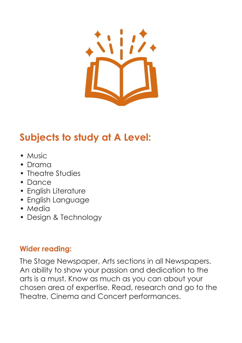

# **Subjects to study at A Level:**

- Music
- Drama
- Theatre Studies
- Dance
- English Literature
- English Language
- Media
- Design & Technology

#### **Wider reading:**

The Stage Newspaper, Arts sections in all Newspapers. An ability to show your passion and dedication to the arts is a must. Know as much as you can about your chosen area of expertise. Read, research and go to the Theatre, Cinema and Concert performances.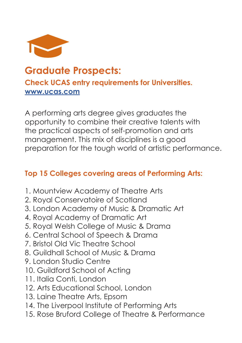

### **Graduate Prospects: Check UCAS entry requirements for Universities. www.ucas.com**

A performing arts degree gives graduates the opportunity to combine their creative talents with the practical aspects of self-promotion and arts management. This mix of disciplines is a good preparation for the tough world of artistic performance.

#### **Top 15 Colleges covering areas of Performing Arts:**

- 1. Mountview Academy of Theatre Arts
- 2. Royal Conservatoire of Scotland
- 3. London Academy of Music & Dramatic Art
- 4. Royal Academy of Dramatic Art
- 5. Royal Welsh College of Music & Drama
- 6. Central School of Speech & Drama
- 7. Bristol Old Vic Theatre School
- 8. Guildhall School of Music & Drama
- 9. London Studio Centre
- 10. Guildford School of Acting
- 11. Italia Conti, London
- 12. Arts Educational School, London
- 13. Laine Theatre Arts, Epsom
- 14. The Liverpool Institute of Performing Arts
- 15. Rose Bruford College of Theatre & Performance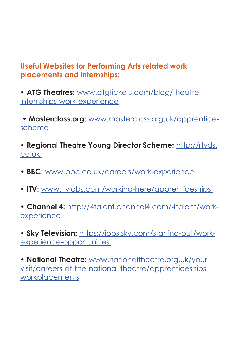#### **Useful Websites for Performing Arts related work placements and internships:**

• **ATG Theatres:** www.atgtickets.com/blog/theatreinternships-work-experience

 • **Masterclass.org:** www.masterclass.org.uk/apprenticescheme

• **Regional Theatre Young Director Scheme:** http://rtyds. co.uk

- **BBC:** www.bbc.co.uk/careers/work-experience
- **ITV:** www.itvjobs.com/working-here/apprenticeships

• **Channel 4:** http://4talent.channel4.com/4talent/workexperience

• **Sky Television:** https://jobs.sky.com/starting-out/workexperience-opportunities

• **National Theatre:** www.nationaltheatre.org.uk/yourvisit/careers-at-the-national-theatre/apprenticeshipsworkplacements